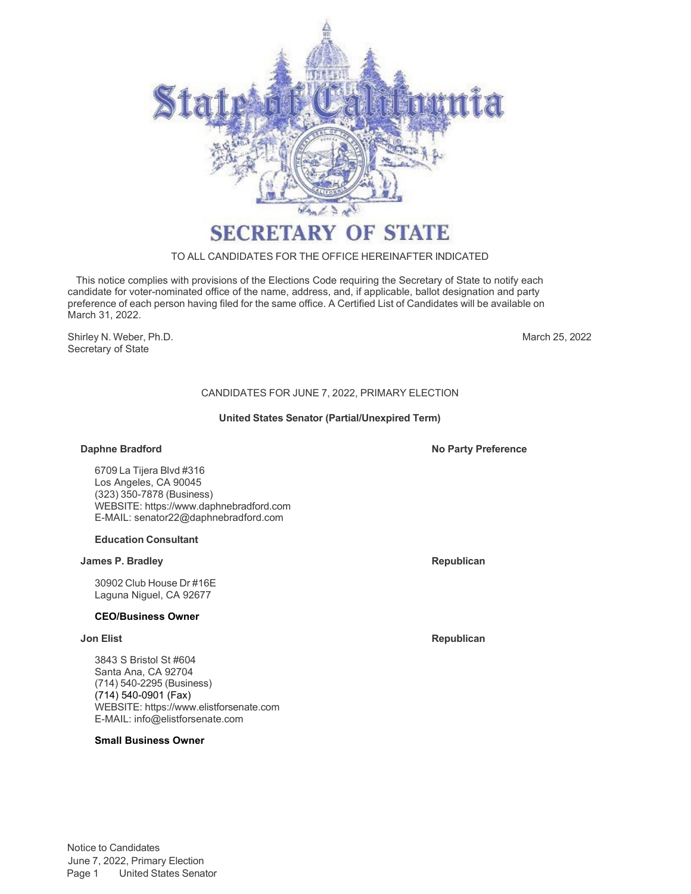

# **SECRETARY OF STATE**

### TO ALL CANDIDATES FOR THE OFFICE HEREINAFTER INDICATED

This notice complies with provisions of the Elections Code requiring the Secretary of State to notify each candidate for voter-nominated office of the name, address, and, if applicable, ballot designation and party preference of each person having filed for the same office. A Certified List of Candidates will be available on March 31, 2022.

Shirley N. Weber, Ph.D. Secretary of State

March 25, 2022

# CANDIDATES FOR JUNE 7, 2022, PRIMARY ELECTION

#### **United States Senator (Partial/Unexpired Term)**

6709 La Tijera Blvd #316 Los Angeles, CA 90045 (323) 350-7878 (Business) WEBSITE[: https://www.daphnebradford.com](http://www.daphnebradford.com/) E-MAIL: [senator22@daphnebradford.com](mailto:senator22@daphnebradford.com)

### **Education Consultant**

# **James P. Bradley Republican**

30902 Club House Dr #16E Laguna Niguel, CA 92677

### **CEO/Business Owner**

3843 S Bristol St #604 Santa Ana, CA 92704 (714) 540-2295 (Business) (714) 540-0901 (Fax) WEBSITE[: https://www.elistforsenate.com](http://www.elistforsenate.com/) E-MAIL: [info@elistforsenate.com](mailto:info@elistforsenate.com)

## **Small Business Owner**

**Daphne Bradford No Party Preference**

**Jon Elist Republican**